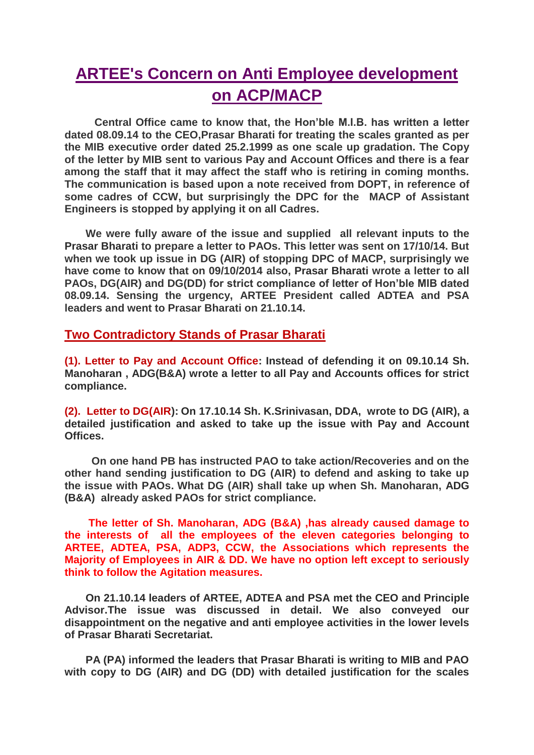## **ARTEE's Concern on Anti Employee development on ACP/MACP**

 **Central Office came to know that, the Hon'ble M.I.B. has written a letter dated 08.09.14 to the CEO,Prasar Bharati for treating the scales granted as per the MIB executive order dated 25.2.1999 as one scale up gradation. The Copy of the letter by MIB sent to various Pay and Account Offices and there is a fear among the staff that it may affect the staff who is retiring in coming months. The communication is based upon a note received from DOPT, in reference of some cadres of CCW, but surprisingly the DPC for the MACP of Assistant Engineers is stopped by applying it on all Cadres.** 

 **We were fully aware of the issue and supplied all relevant inputs to the Prasar Bharati to prepare a letter to PAOs. This letter was sent on 17/10/14. But when we took up issue in DG (AIR) of stopping DPC of MACP, surprisingly we have come to know that on 09/10/2014 also, Prasar Bharati wrote a letter to all PAOs, DG(AIR) and DG(DD) for strict compliance of letter of Hon'ble MIB dated 08.09.14. Sensing the urgency, ARTEE President called ADTEA and PSA leaders and went to Prasar Bharati on 21.10.14.** 

## **Two Contradictory Stands of Prasar Bharati**

**(1). Letter to Pay and Account Office: Instead of defending it on 09.10.14 Sh. Manoharan , ADG(B&A) wrote a letter to all Pay and Accounts offices for strict compliance.**

**(2). Letter to DG(AIR): On 17.10.14 Sh. K.Srinivasan, DDA, wrote to DG (AIR), a detailed justification and asked to take up the issue with Pay and Account Offices.**

 **On one hand PB has instructed PAO to take action/Recoveries and on the other hand sending justification to DG (AIR) to defend and asking to take up the issue with PAOs. What DG (AIR) shall take up when Sh. Manoharan, ADG (B&A) already asked PAOs for strict compliance.**

 **The letter of Sh. Manoharan, ADG (B&A) ,has already caused damage to the interests of all the employees of the eleven categories belonging to ARTEE, ADTEA, PSA, ADP3, CCW, the Associations which represents the Majority of Employees in AIR & DD. We have no option left except to seriously think to follow the Agitation measures.**

 **On 21.10.14 leaders of ARTEE, ADTEA and PSA met the CEO and Principle Advisor.The issue was discussed in detail. We also conveyed our disappointment on the negative and anti employee activities in the lower levels of Prasar Bharati Secretariat.**

 **PA (PA) informed the leaders that Prasar Bharati is writing to MIB and PAO with copy to DG (AIR) and DG (DD) with detailed justification for the scales**